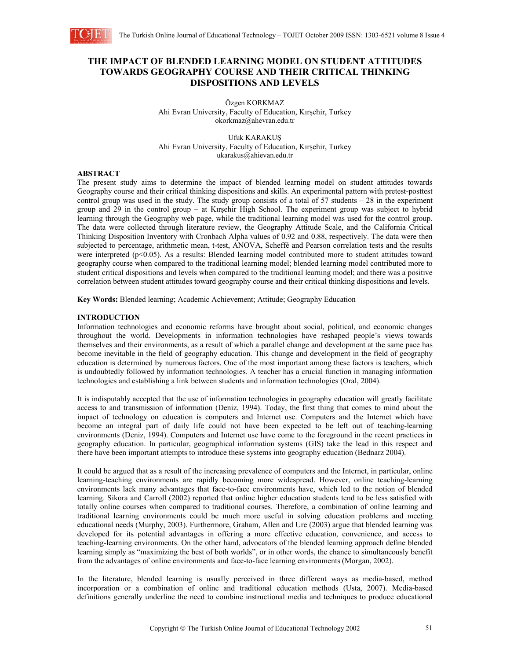

# **THE IMPACT OF BLENDED LEARNING MODEL ON STUDENT ATTITUDES TOWARDS GEOGRAPHY COURSE AND THEIR CRITICAL THINKING DISPOSITIONS AND LEVELS**

Özgen KORKMAZ Ahi Evran University, Faculty of Education, Kırşehir, Turkey okorkmaz@ahevran.edu.tr

Ufuk KARAKUŞ Ahi Evran University, Faculty of Education, Kırşehir, Turkey ukarakus@ahievan.edu.tr

### **ABSTRACT**

The present study aims to determine the impact of blended learning model on student attitudes towards Geography course and their critical thinking dispositions and skills. An experimental pattern with pretest-posttest control group was used in the study. The study group consists of a total of  $57$  students  $-28$  in the experiment group and 29 in the control group – at Kırşehir High School. The experiment group was subject to hybrid learning through the Geography web page, while the traditional learning model was used for the control group. The data were collected through literature review, the Geography Attitude Scale, and the California Critical Thinking Disposition Inventory with Cronbach Alpha values of 0.92 and 0.88, respectively. The data were then subjected to percentage, arithmetic mean, t-test, ANOVA, Scheffé and Pearson correlation tests and the results were interpreted (p<0.05). As a results: Blended learning model contributed more to student attitudes toward geography course when compared to the traditional learning model; blended learning model contributed more to student critical dispositions and levels when compared to the traditional learning model; and there was a positive correlation between student attitudes toward geography course and their critical thinking dispositions and levels.

**Key Words:** Blended learning; Academic Achievement; Attitude; Geography Education

#### **INTRODUCTION**

Information technologies and economic reforms have brought about social, political, and economic changes throughout the world. Developments in information technologies have reshaped people's views towards themselves and their environments, as a result of which a parallel change and development at the same pace has become inevitable in the field of geography education. This change and development in the field of geography education is determined by numerous factors. One of the most important among these factors is teachers, which is undoubtedly followed by information technologies. A teacher has a crucial function in managing information technologies and establishing a link between students and information technologies (Oral, 2004).

It is indisputably accepted that the use of information technologies in geography education will greatly facilitate access to and transmission of information (Deniz, 1994). Today, the first thing that comes to mind about the impact of technology on education is computers and Internet use. Computers and the Internet which have become an integral part of daily life could not have been expected to be left out of teaching-learning environments (Deniz, 1994). Computers and Internet use have come to the foreground in the recent practices in geography education. In particular, geographical information systems (GIS) take the lead in this respect and there have been important attempts to introduce these systems into geography education (Bednarz 2004).

It could be argued that as a result of the increasing prevalence of computers and the Internet, in particular, online learning-teaching environments are rapidly becoming more widespread. However, online teaching-learning environments lack many advantages that face-to-face environments have, which led to the notion of blended learning. Sikora and Carroll (2002) reported that online higher education students tend to be less satisfied with totally online courses when compared to traditional courses. Therefore, a combination of online learning and traditional learning environments could be much more useful in solving education problems and meeting educational needs (Murphy, 2003). Furthermore, Graham, Allen and Ure (2003) argue that blended learning was developed for its potential advantages in offering a more effective education, convenience, and access to teaching-learning environments. On the other hand, advocators of the blended learning approach define blended learning simply as "maximizing the best of both worlds", or in other words, the chance to simultaneously benefit from the advantages of online environments and face-to-face learning environments (Morgan, 2002).

In the literature, blended learning is usually perceived in three different ways as media-based, method incorporation or a combination of online and traditional education methods (Usta, 2007). Media-based definitions generally underline the need to combine instructional media and techniques to produce educational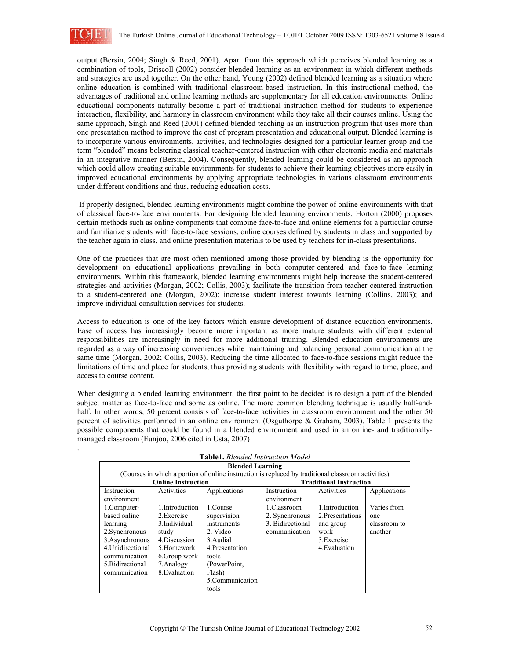

.

output (Bersin, 2004; Singh & Reed, 2001). Apart from this approach which perceives blended learning as a combination of tools, Driscoll (2002) consider blended learning as an environment in which different methods and strategies are used together. On the other hand, Young (2002) defined blended learning as a situation where online education is combined with traditional classroom-based instruction. In this instructional method, the advantages of traditional and online learning methods are supplementary for all education environments. Online educational components naturally become a part of traditional instruction method for students to experience interaction, flexibility, and harmony in classroom environment while they take all their courses online. Using the same approach, Singh and Reed (2001) defined blended teaching as an instruction program that uses more than one presentation method to improve the cost of program presentation and educational output. Blended learning is to incorporate various environments, activities, and technologies designed for a particular learner group and the term "blended" means bolstering classical teacher-centered instruction with other electronic media and materials in an integrative manner (Bersin, 2004). Consequently, blended learning could be considered as an approach which could allow creating suitable environments for students to achieve their learning objectives more easily in improved educational environments by applying appropriate technologies in various classroom environments under different conditions and thus, reducing education costs.

 If properly designed, blended learning environments might combine the power of online environments with that of classical face-to-face environments. For designing blended learning environments, Horton (2000) proposes certain methods such as online components that combine face-to-face and online elements for a particular course and familiarize students with face-to-face sessions, online courses defined by students in class and supported by the teacher again in class, and online presentation materials to be used by teachers for in-class presentations.

One of the practices that are most often mentioned among those provided by blending is the opportunity for development on educational applications prevailing in both computer-centered and face-to-face learning environments. Within this framework, blended learning environments might help increase the student-centered strategies and activities (Morgan, 2002; Collis, 2003); facilitate the transition from teacher-centered instruction to a student-centered one (Morgan, 2002); increase student interest towards learning (Collins, 2003); and improve individual consultation services for students.

Access to education is one of the key factors which ensure development of distance education environments. Ease of access has increasingly become more important as more mature students with different external responsibilities are increasingly in need for more additional training. Blended education environments are regarded as a way of increasing conveniences while maintaining and balancing personal communication at the same time (Morgan, 2002; Collis, 2003). Reducing the time allocated to face-to-face sessions might reduce the limitations of time and place for students, thus providing students with flexibility with regard to time, place, and access to course content.

When designing a blended learning environment, the first point to be decided is to design a part of the blended subject matter as face-to-face and some as online. The more common blending technique is usually half-andhalf. In other words, 50 percent consists of face-to-face activities in classroom environment and the other 50 percent of activities performed in an online environment (Osguthorpe & Graham, 2003). Table 1 presents the possible components that could be found in a blended environment and used in an online- and traditionallymanaged classroom (Eunjoo, 2006 cited in Usta, 2007)

| <b>TableT.</b> Diended Thstruction Model |                           |                                                                                                    |                  |                                |              |  |  |  |
|------------------------------------------|---------------------------|----------------------------------------------------------------------------------------------------|------------------|--------------------------------|--------------|--|--|--|
|                                          |                           | <b>Blended Learning</b>                                                                            |                  |                                |              |  |  |  |
|                                          |                           | (Courses in which a portion of online instruction is replaced by traditional classroom activities) |                  |                                |              |  |  |  |
|                                          | <b>Online Instruction</b> |                                                                                                    |                  | <b>Traditional Instruction</b> |              |  |  |  |
| Instruction                              | Activities                | Applications                                                                                       | Instruction      | Activities                     | Applications |  |  |  |
| environment                              |                           |                                                                                                    | environment      |                                |              |  |  |  |
| 1.Computer-                              | 1. Introduction           | 1.Course                                                                                           | 1.Classroom      | 1. Introduction                | Varies from  |  |  |  |
| based online                             | 2. Exercise               | supervision                                                                                        | 2. Synchronous   | 2. Presentations               | one          |  |  |  |
| learning                                 | 3.Individual              | instruments                                                                                        | 3. Bidirectional | and group                      | classroom to |  |  |  |
| 2. Synchronous                           | study                     | 2. Video                                                                                           | communication    | work                           | another      |  |  |  |
| 3. Asynchronous                          | 4. Discussion             | 3. Audial                                                                                          |                  | 3. Exercise                    |              |  |  |  |
| 4. Unidirectional                        | 5. Homework               | 4. Presentation                                                                                    |                  | 4. Evaluation                  |              |  |  |  |
| communication                            | 6. Group work             | tools                                                                                              |                  |                                |              |  |  |  |
| 5. Bidirectional                         | 7.Analogy                 | (PowerPoint,                                                                                       |                  |                                |              |  |  |  |
| communication                            | 8. Evaluation             | Flash)                                                                                             |                  |                                |              |  |  |  |
|                                          |                           | 5. Communication                                                                                   |                  |                                |              |  |  |  |
|                                          |                           | tools                                                                                              |                  |                                |              |  |  |  |

| <b>Table1.</b> Blended Instruction Model |
|------------------------------------------|
|------------------------------------------|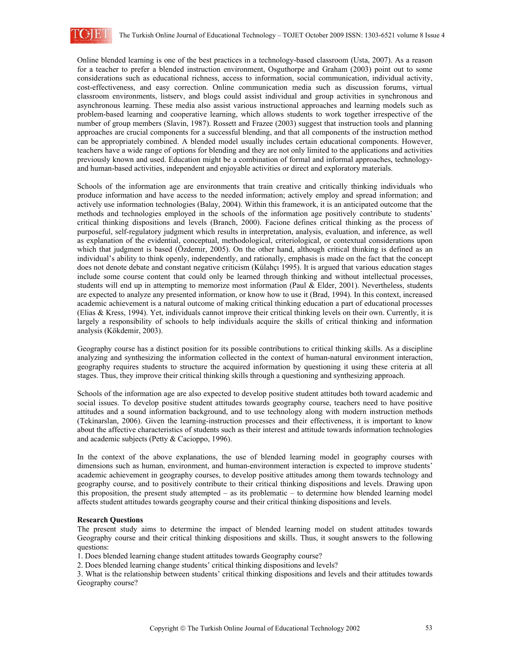

Online blended learning is one of the best practices in a technology-based classroom (Usta, 2007). As a reason for a teacher to prefer a blended instruction environment, Osguthorpe and Graham (2003) point out to some considerations such as educational richness, access to information, social communication, individual activity, cost-effectiveness, and easy correction. Online communication media such as discussion forums, virtual classroom environments, listserv, and blogs could assist individual and group activities in synchronous and asynchronous learning. These media also assist various instructional approaches and learning models such as problem-based learning and cooperative learning, which allows students to work together irrespective of the number of group members (Slavin, 1987). Rossett and Frazee (2003) suggest that instruction tools and planning approaches are crucial components for a successful blending, and that all components of the instruction method can be appropriately combined. A blended model usually includes certain educational components. However, teachers have a wide range of options for blending and they are not only limited to the applications and activities previously known and used. Education might be a combination of formal and informal approaches, technologyand human-based activities, independent and enjoyable activities or direct and exploratory materials.

Schools of the information age are environments that train creative and critically thinking individuals who produce information and have access to the needed information; actively employ and spread information; and actively use information technologies (Balay, 2004). Within this framework, it is an anticipated outcome that the methods and technologies employed in the schools of the information age positively contribute to students' critical thinking dispositions and levels (Branch, 2000). Facione defines critical thinking as the process of purposeful, self-regulatory judgment which results in interpretation, analysis, evaluation, and inference, as well as explanation of the evidential, conceptual, methodological, criteriological, or contextual considerations upon which that judgment is based (Özdemir, 2005). On the other hand, although critical thinking is defined as an individual's ability to think openly, independently, and rationally, emphasis is made on the fact that the concept does not denote debate and constant negative criticism (Külahçı 1995). It is argued that various education stages include some course content that could only be learned through thinking and without intellectual processes, students will end up in attempting to memorize most information (Paul & Elder, 2001). Nevertheless, students are expected to analyze any presented information, or know how to use it (Brad, 1994). In this context, increased academic achievement is a natural outcome of making critical thinking education a part of educational processes (Elias & Kress, 1994). Yet, individuals cannot improve their critical thinking levels on their own. Currently, it is largely a responsibility of schools to help individuals acquire the skills of critical thinking and information analysis (Kökdemir, 2003).

Geography course has a distinct position for its possible contributions to critical thinking skills. As a discipline analyzing and synthesizing the information collected in the context of human-natural environment interaction, geography requires students to structure the acquired information by questioning it using these criteria at all stages. Thus, they improve their critical thinking skills through a questioning and synthesizing approach.

Schools of the information age are also expected to develop positive student attitudes both toward academic and social issues. To develop positive student attitudes towards geography course, teachers need to have positive attitudes and a sound information background, and to use technology along with modern instruction methods (Tekinarslan, 2006). Given the learning-instruction processes and their effectiveness, it is important to know about the affective characteristics of students such as their interest and attitude towards information technologies and academic subjects (Petty & Cacioppo, 1996).

In the context of the above explanations, the use of blended learning model in geography courses with dimensions such as human, environment, and human-environment interaction is expected to improve students' academic achievement in geography courses, to develop positive attitudes among them towards technology and geography course, and to positively contribute to their critical thinking dispositions and levels. Drawing upon this proposition, the present study attempted – as its problematic – to determine how blended learning model affects student attitudes towards geography course and their critical thinking dispositions and levels.

### **Research Questions**

The present study aims to determine the impact of blended learning model on student attitudes towards Geography course and their critical thinking dispositions and skills. Thus, it sought answers to the following questions:

1. Does blended learning change student attitudes towards Geography course?

2. Does blended learning change students' critical thinking dispositions and levels?

3. What is the relationship between students' critical thinking dispositions and levels and their attitudes towards Geography course?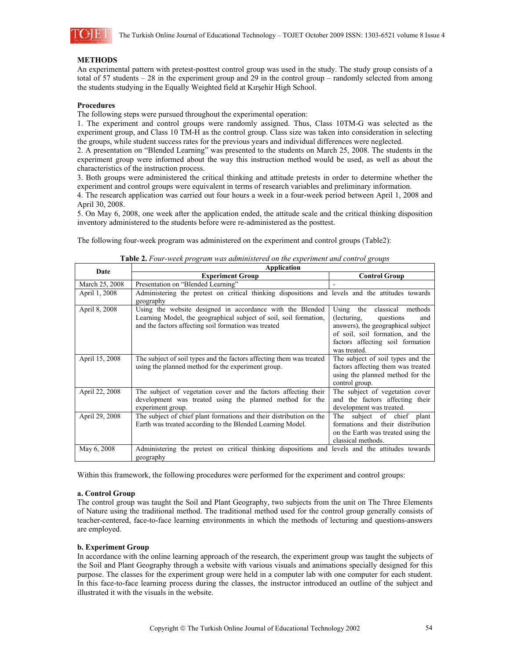

# **METHODS**

An experimental pattern with pretest-posttest control group was used in the study. The study group consists of a total of 57 students – 28 in the experiment group and 29 in the control group – randomly selected from among the students studying in the Equally Weighted field at Kırşehir High School.

## **Procedures**

The following steps were pursued throughout the experimental operation:

1. The experiment and control groups were randomly assigned. Thus, Class 10TM-G was selected as the experiment group, and Class 10 TM-H as the control group. Class size was taken into consideration in selecting the groups, while student success rates for the previous years and individual differences were neglected.

2. A presentation on "Blended Learning" was presented to the students on March 25, 2008. The students in the experiment group were informed about the way this instruction method would be used, as well as about the characteristics of the instruction process.

3. Both groups were administered the critical thinking and attitude pretests in order to determine whether the experiment and control groups were equivalent in terms of research variables and preliminary information.

4. The research application was carried out four hours a week in a four-week period between April 1, 2008 and April 30, 2008.

5. On May 6, 2008, one week after the application ended, the attitude scale and the critical thinking disposition inventory administered to the students before were re-administered as the posttest.

The following four-week program was administered on the experiment and control groups (Table2):

| Date           | Application                                                                                                                                                                            |                                                                                                                                                                                                 |
|----------------|----------------------------------------------------------------------------------------------------------------------------------------------------------------------------------------|-------------------------------------------------------------------------------------------------------------------------------------------------------------------------------------------------|
|                | <b>Experiment Group</b>                                                                                                                                                                | <b>Control Group</b>                                                                                                                                                                            |
| March 25, 2008 | Presentation on "Blended Learning"                                                                                                                                                     |                                                                                                                                                                                                 |
| April 1, 2008  | Administering the pretest on critical thinking dispositions and levels and the attitudes towards<br>geography                                                                          |                                                                                                                                                                                                 |
| April 8, 2008  | Using the website designed in accordance with the Blended<br>Learning Model, the geographical subject of soil, soil formation,<br>and the factors affecting soil formation was treated | Using the<br>classical methods<br>(lecturing,<br>questions<br>and<br>answers), the geographical subject<br>of soil, soil formation, and the<br>factors affecting soil formation<br>was treated. |
| April 15, 2008 | The subject of soil types and the factors affecting them was treated<br>using the planned method for the experiment group.                                                             | The subject of soil types and the<br>factors affecting them was treated<br>using the planned method for the<br>control group.                                                                   |
| April 22, 2008 | The subject of vegetation cover and the factors affecting their<br>development was treated using the planned method for the<br>experiment group.                                       | The subject of vegetation cover<br>and the factors affecting their<br>development was treated.                                                                                                  |
| April 29, 2008 | The subject of chief plant formations and their distribution on the<br>Earth was treated according to the Blended Learning Model.                                                      | subject of chief plant<br>The<br>formations and their distribution<br>on the Earth was treated using the<br>classical methods.                                                                  |
| May 6, 2008    | Administering the pretest on critical thinking dispositions and levels and the attitudes towards<br>geography                                                                          |                                                                                                                                                                                                 |

**Table 2.** *Four-week program was administered on the experiment and control groups* 

Within this framework, the following procedures were performed for the experiment and control groups:

# **a. Control Group**

The control group was taught the Soil and Plant Geography, two subjects from the unit on The Three Elements of Nature using the traditional method. The traditional method used for the control group generally consists of teacher-centered, face-to-face learning environments in which the methods of lecturing and questions-answers are employed.

# **b. Experiment Group**

In accordance with the online learning approach of the research, the experiment group was taught the subjects of the Soil and Plant Geography through a website with various visuals and animations specially designed for this purpose. The classes for the experiment group were held in a computer lab with one computer for each student. In this face-to-face learning process during the classes, the instructor introduced an outline of the subject and illustrated it with the visuals in the website.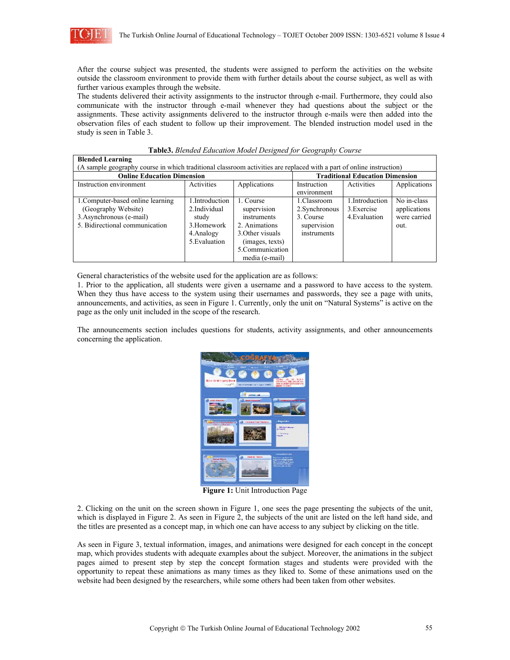

After the course subject was presented, the students were assigned to perform the activities on the website outside the classroom environment to provide them with further details about the course subject, as well as with further various examples through the website.

The students delivered their activity assignments to the instructor through e-mail. Furthermore, they could also communicate with the instructor through e-mail whenever they had questions about the subject or the assignments. These activity assignments delivered to the instructor through e-mails were then added into the observation files of each student to follow up their improvement. The blended instruction model used in the study is seen in Table 3.

| <b>Blended Learning</b>                                                                                                |                                                                                       |                                                                                                                                       |                                                                          |                                                |                                                     |
|------------------------------------------------------------------------------------------------------------------------|---------------------------------------------------------------------------------------|---------------------------------------------------------------------------------------------------------------------------------------|--------------------------------------------------------------------------|------------------------------------------------|-----------------------------------------------------|
| (A sample geography course in which traditional classroom activities are replaced with a part of online instruction)   |                                                                                       |                                                                                                                                       |                                                                          |                                                |                                                     |
| <b>Online Education Dimension</b>                                                                                      |                                                                                       |                                                                                                                                       |                                                                          | <b>Traditional Education Dimension</b>         |                                                     |
| Instruction environment                                                                                                | Activities                                                                            | Applications                                                                                                                          | Instruction                                                              | Activities                                     | Applications                                        |
|                                                                                                                        |                                                                                       |                                                                                                                                       | environment                                                              |                                                |                                                     |
| 1. Computer-based online learning<br>(Geography Website)<br>3. Asynchronous (e-mail)<br>5. Bidirectional communication | 1.Introduction<br>2.Individual<br>study<br>3. Homework<br>4. Analogy<br>5. Evaluation | 1. Course<br>supervision<br>instruments<br>2. Animations<br>3. Other visuals<br>(images, texts)<br>5. Communication<br>media (e-mail) | 1.Classroom<br>2. Synchronous<br>3. Course<br>supervision<br>instruments | 1.Introduction<br>3. Exercise<br>4. Evaluation | No in-class<br>applications<br>were carried<br>out. |

**Table3.** *Blended Education Model Designed for Geography Course*

General characteristics of the website used for the application are as follows:

1. Prior to the application, all students were given a username and a password to have access to the system. When they thus have access to the system using their usernames and passwords, they see a page with units, announcements, and activities, as seen in Figure 1. Currently, only the unit on "Natural Systems" is active on the page as the only unit included in the scope of the research.

The announcements section includes questions for students, activity assignments, and other announcements concerning the application.



**Figure 1:** Unit Introduction Page

2. Clicking on the unit on the screen shown in Figure 1, one sees the page presenting the subjects of the unit, which is displayed in Figure 2. As seen in Figure 2, the subjects of the unit are listed on the left hand side, and the titles are presented as a concept map, in which one can have access to any subject by clicking on the title.

As seen in Figure 3, textual information, images, and animations were designed for each concept in the concept map, which provides students with adequate examples about the subject. Moreover, the animations in the subject pages aimed to present step by step the concept formation stages and students were provided with the opportunity to repeat these animations as many times as they liked to. Some of these animations used on the website had been designed by the researchers, while some others had been taken from other websites.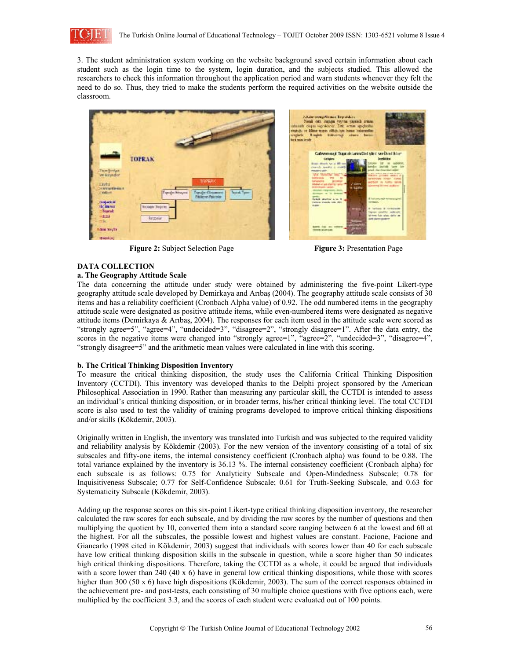

3. The student administration system working on the website background saved certain information about each student such as the login time to the system, login duration, and the subjects studied. This allowed the researchers to check this information throughout the application period and warn students whenever they felt the need to do so. Thus, they tried to make the students perform the required activities on the website outside the classroom.



**Figure 2:** Subject Selection Page **Figure 3:** Presentation Page



### **DATA COLLECTION**

#### **a. The Geography Attitude Scale**

The data concerning the attitude under study were obtained by administering the five-point Likert-type geography attitude scale developed by Demirkaya and Arıbaş (2004). The geography attitude scale consists of 30 items and has a reliability coefficient (Cronbach Alpha value) of 0.92. The odd numbered items in the geography attitude scale were designated as positive attitude items, while even-numbered items were designated as negative attitude items (Demirkaya & Arıbaş, 2004). The responses for each item used in the attitude scale were scored as "strongly agree=5", "agree=4", "undecided=3", "disagree=2", "strongly disagree=1". After the data entry, the scores in the negative items were changed into "strongly agree=1", "agree=2", "undecided=3", "disagree=4", "strongly disagree=5" and the arithmetic mean values were calculated in line with this scoring.

### **b. The Critical Thinking Disposition Inventory**

To measure the critical thinking disposition, the study uses the California Critical Thinking Disposition Inventory (CCTDI). This inventory was developed thanks to the Delphi project sponsored by the American Philosophical Association in 1990. Rather than measuring any particular skill, the CCTDI is intended to assess an individual's critical thinking disposition, or in broader terms, his/her critical thinking level. The total CCTDI score is also used to test the validity of training programs developed to improve critical thinking dispositions and/or skills (Kökdemir, 2003).

Originally written in English, the inventory was translated into Turkish and was subjected to the required validity and reliability analysis by Kökdemir (2003). For the new version of the inventory consisting of a total of six subscales and fifty-one items, the internal consistency coefficient (Cronbach alpha) was found to be 0.88. The total variance explained by the inventory is 36.13 %. The internal consistency coefficient (Cronbach alpha) for each subscale is as follows: 0.75 for Analyticity Subscale and Open-Mindedness Subscale; 0.78 for Inquisitiveness Subscale; 0.77 for Self-Confidence Subscale; 0.61 for Truth-Seeking Subscale, and 0.63 for Systematicity Subscale (Kökdemir, 2003).

Adding up the response scores on this six-point Likert-type critical thinking disposition inventory, the researcher calculated the raw scores for each subscale, and by dividing the raw scores by the number of questions and then multiplying the quotient by 10, converted them into a standard score ranging between 6 at the lowest and 60 at the highest. For all the subscales, the possible lowest and highest values are constant. Facione, Facione and Giancarlo (1998 cited in Kökdemir, 2003) suggest that individuals with scores lower than 40 for each subscale have low critical thinking disposition skills in the subscale in question, while a score higher than 50 indicates high critical thinking dispositions. Therefore, taking the CCTDI as a whole, it could be argued that individuals with a score lower than 240 (40 x 6) have in general low critical thinking dispositions, while those with scores higher than 300 (50 x 6) have high dispositions (Kökdemir, 2003). The sum of the correct responses obtained in the achievement pre- and post-tests, each consisting of 30 multiple choice questions with five options each, were multiplied by the coefficient 3.3, and the scores of each student were evaluated out of 100 points.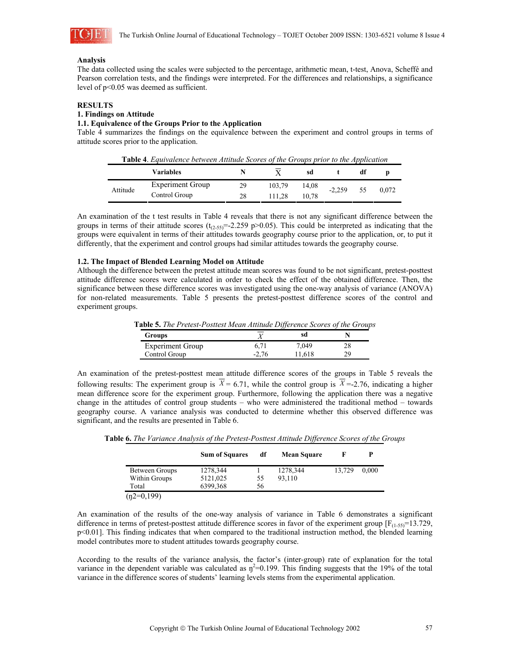

#### **Analysis**

The data collected using the scales were subjected to the percentage, arithmetic mean, t-test, Anova, Scheffé and Pearson correlation tests, and the findings were interpreted. For the differences and relationships, a significance level of p<0.05 was deemed as sufficient.

## **RESULTS**

# **1. Findings on Attitude**

#### **1.1. Equivalence of the Groups Prior to the Application**

Table 4 summarizes the findings on the equivalence between the experiment and control groups in terms of attitude scores prior to the application.

| <b>Table 4.</b> Equivalence between Attitude Scores of the Groups prior to the Application |  |  |  |  |
|--------------------------------------------------------------------------------------------|--|--|--|--|
| Variables                                                                                  |  |  |  |  |

|          | Variables               |    |        | sd    |          |    |       |
|----------|-------------------------|----|--------|-------|----------|----|-------|
| Attitude | <b>Experiment Group</b> | 29 | 103,79 | 14.08 | $-2,259$ | 55 | 0.072 |
|          | Control Group           | 28 | 111.28 | 10.78 |          |    |       |

An examination of the t test results in Table 4 reveals that there is not any significant difference between the groups in terms of their attitude scores  $(t_{(2.55)}=-2.259 \text{ p}>0.05)$ . This could be interpreted as indicating that the groups were equivalent in terms of their attitudes towards geography course prior to the application, or, to put it differently, that the experiment and control groups had similar attitudes towards the geography course.

### **1.2. The Impact of Blended Learning Model on Attitude**

Although the difference between the pretest attitude mean scores was found to be not significant, pretest-posttest attitude difference scores were calculated in order to check the effect of the obtained difference. Then, the significance between these difference scores was investigated using the one-way analysis of variance (ANOVA) for non-related measurements. Table 5 presents the pretest-posttest difference scores of the control and experiment groups.

| <b>Table 5.</b> The Pretest-Posttest Mean Attitude Difference Scores of the Groups |         |        |    |
|------------------------------------------------------------------------------------|---------|--------|----|
| <b>Groups</b>                                                                      |         | sd     |    |
| <b>Experiment Group</b>                                                            | 6.71    | 7.049  | 28 |
| Control Group                                                                      | $-2.76$ | 11.618 | 29 |

An examination of the pretest-posttest mean attitude difference scores of the groups in Table 5 reveals the following results: The experiment group is  $\overline{X}$  = 6.71, while the control group is  $\overline{X}$  =-2.76, indicating a higher mean difference score for the experiment group. Furthermore, following the application there was a negative change in the attitudes of control group students – who were administered the traditional method – towards geography course. A variance analysis was conducted to determine whether this observed difference was significant, and the results are presented in Table 6.

|                | <b>Sum of Squares</b> | df | <b>Mean Square</b> |        | P     |
|----------------|-----------------------|----|--------------------|--------|-------|
| Between Groups | 1278,344              |    | 1278,344           | 13.729 | 0.000 |
| Within Groups  | 5121,025              | 55 | 93,110             |        |       |
| Total          | 6399,368              | 56 |                    |        |       |
| $(p2=0,199)$   |                       |    |                    |        |       |

**Table 6.** *The Variance Analysis of the Pretest-Posttest Attitude Difference Scores of the Groups*

An examination of the results of the one-way analysis of variance in Table 6 demonstrates a significant difference in terms of pretest-posttest attitude difference scores in favor of the experiment group  $[F(1-55)]=13.729$ , p<0.01]. This finding indicates that when compared to the traditional instruction method, the blended learning model contributes more to student attitudes towards geography course.

According to the results of the variance analysis, the factor's (inter-group) rate of explanation for the total variance in the dependent variable was calculated as  $\eta^2$ =0.199. This finding suggests that the 19% of the total variance in the difference scores of students' learning levels stems from the experimental application.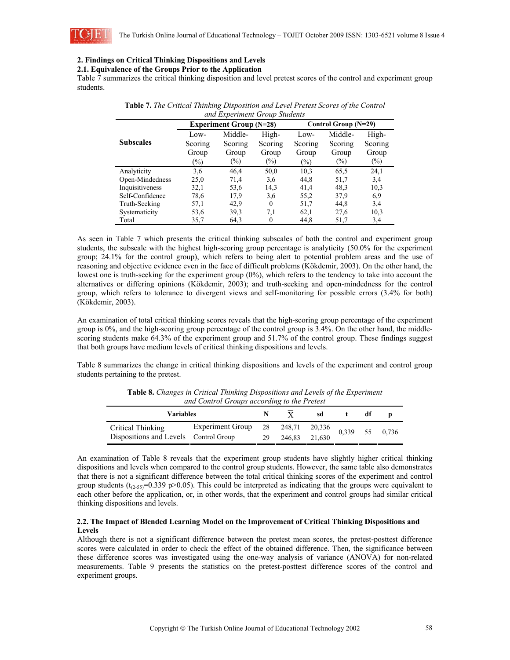

### **2. Findings on Critical Thinking Dispositions and Levels**

# **2.1. Equivalence of the Groups Prior to the Application**

Table 7 summarizes the critical thinking disposition and level pretest scores of the control and experiment group students.

| ana <i>Experiment</i> or <i>oup</i> biaachis |                      |               |          |         |         |         |  |  |
|----------------------------------------------|----------------------|---------------|----------|---------|---------|---------|--|--|
|                                              | Control Group (N=29) |               |          |         |         |         |  |  |
|                                              | Low-                 | Middle-       | High-    | Low-    | Middle- | High-   |  |  |
| <b>Subscales</b>                             | Scoring              | Scoring       | Scoring  | Scoring | Scoring | Scoring |  |  |
|                                              | Group                | Group         | Group    | Group   | Group   | Group   |  |  |
|                                              | $\frac{9}{0}$        | $\frac{6}{2}$ | $(\%)$   | $(\%)$  | $(\%)$  | $(\%)$  |  |  |
| Analyticity                                  | 3,6                  | 46,4          | 50,0     | 10,3    | 65.5    | 24,1    |  |  |
| Open-Mindedness                              | 25,0                 | 71,4          | 3,6      | 44,8    | 51,7    | 3,4     |  |  |
| Inquisitiveness                              | 32,1                 | 53,6          | 14,3     | 41,4    | 48.3    | 10,3    |  |  |
| Self-Confidence                              | 78,6                 | 17.9          | 3.6      | 55,2    | 37.9    | 6,9     |  |  |
| Truth-Seeking                                | 57,1                 | 42.9          | $\theta$ | 51,7    | 44,8    | 3,4     |  |  |
| Systematicity                                | 53,6                 | 39.3          | 7,1      | 62,1    | 27,6    | 10,3    |  |  |
| Total                                        | 35,7                 | 64,3          | $\theta$ | 44,8    | 51,7    | 3,4     |  |  |

| <b>Table 7.</b> The Critical Thinking Disposition and Level Pretest Scores of the Control |
|-------------------------------------------------------------------------------------------|
| and Experiment Group Students                                                             |

As seen in Table 7 which presents the critical thinking subscales of both the control and experiment group students, the subscale with the highest high-scoring group percentage is analyticity (50.0% for the experiment group; 24.1% for the control group), which refers to being alert to potential problem areas and the use of reasoning and objective evidence even in the face of difficult problems (Kökdemir, 2003). On the other hand, the lowest one is truth-seeking for the experiment group (0%), which refers to the tendency to take into account the alternatives or differing opinions (Kökdemir, 2003); and truth-seeking and open-mindedness for the control group, which refers to tolerance to divergent views and self-monitoring for possible errors (3.4% for both) (Kökdemir, 2003).

An examination of total critical thinking scores reveals that the high-scoring group percentage of the experiment group is 0%, and the high-scoring group percentage of the control group is 3.4%. On the other hand, the middlescoring students make 64.3% of the experiment group and 51.7% of the control group. These findings suggest that both groups have medium levels of critical thinking dispositions and levels.

Table 8 summarizes the change in critical thinking dispositions and levels of the experiment and control group students pertaining to the pretest.

| and Control Groups according to the Fretest |                                                     |     |               |    |  |  |       |
|---------------------------------------------|-----------------------------------------------------|-----|---------------|----|--|--|-------|
| <b>Variables</b>                            |                                                     | N = |               | sd |  |  |       |
| Critical Thinking                           | Experiment Group 28 248,71 20,336 0,339 55 $0^{-7}$ |     |               |    |  |  | 0,736 |
| Dispositions and Levels Control Group       |                                                     | 29  | 246,83 21,630 |    |  |  |       |

**Table 8.** *Changes in Critical Thinking Dispositions and Levels of the Experiment and Control Groups according to the Pretest*

An examination of Table 8 reveals that the experiment group students have slightly higher critical thinking dispositions and levels when compared to the control group students. However, the same table also demonstrates that there is not a significant difference between the total critical thinking scores of the experiment and control group students  $(t_{(2-55)}=0.339 \text{ p}>0.05)$ . This could be interpreted as indicating that the groups were equivalent to each other before the application, or, in other words, that the experiment and control groups had similar critical thinking dispositions and levels.

# **2.2. The Impact of Blended Learning Model on the Improvement of Critical Thinking Dispositions and Levels**

Although there is not a significant difference between the pretest mean scores, the pretest-posttest difference scores were calculated in order to check the effect of the obtained difference. Then, the significance between these difference scores was investigated using the one-way analysis of variance (ANOVA) for non-related measurements. Table 9 presents the statistics on the pretest-posttest difference scores of the control and experiment groups.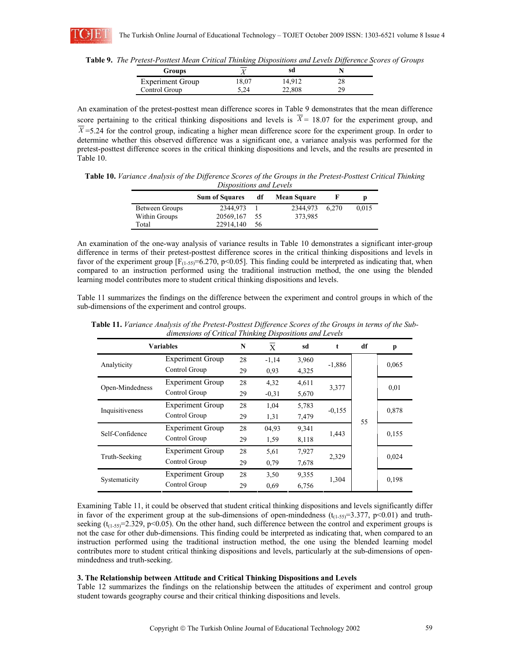

| Groups                  |       |        |  |
|-------------------------|-------|--------|--|
| <b>Experiment Group</b> | .8,07 | 14.912 |  |
| Control Group           | $-24$ | 22.808 |  |

**Table 9.** *The Pretest-Posttest Mean Critical Thinking Dispositions and Levels Difference Scores of Groups* 

An examination of the pretest-posttest mean difference scores in Table 9 demonstrates that the mean difference score pertaining to the critical thinking dispositions and levels is  $\overline{X}$  = 18.07 for the experiment group, and  $\overline{X}$  =5.24 for the control group, indicating a higher mean difference score for the experiment group. In order to determine whether this observed difference was a significant one, a variance analysis was performed for the pretest-posttest difference scores in the critical thinking dispositions and levels, and the results are presented in Table 10.

**Table 10.** *Variance Analysis of the Difference Scores of the Groups in the Pretest-Posttest Critical Thinking Dispositions and Levels*

|                | <b>Sum of Squares</b> | df | <b>Mean Square</b> |       |       |
|----------------|-----------------------|----|--------------------|-------|-------|
| Between Groups | 2344.973              |    | 2344.973           | 6.270 | 0,015 |
| Within Groups  | 20569,167             | 55 | 373,985            |       |       |
| Total          | 22914.140             | 56 |                    |       |       |

An examination of the one-way analysis of variance results in Table 10 demonstrates a significant inter-group difference in terms of their pretest-posttest difference scores in the critical thinking dispositions and levels in favor of the experiment group  $[F_{(1-55)}=6.270, p<0.05]$ . This finding could be interpreted as indicating that, when compared to an instruction performed using the traditional instruction method, the one using the blended learning model contributes more to student critical thinking dispositions and levels.

Table 11 summarizes the findings on the difference between the experiment and control groups in which of the sub-dimensions of the experiment and control groups.

|                 | <b>Variables</b>        | N                   | X       | sd    | t        | df | p     |
|-----------------|-------------------------|---------------------|---------|-------|----------|----|-------|
| Analyticity     | <b>Experiment Group</b> | 28                  | $-1,14$ | 3,960 | $-1,886$ |    | 0,065 |
|                 | Control Group           | 29                  | 0.93    | 4,325 |          |    |       |
| Open-Mindedness | <b>Experiment Group</b> | 28                  | 4,32    | 4,611 | 3,377    |    | 0.01  |
|                 | Control Group           | 29                  | $-0.31$ | 5,670 |          |    |       |
| Inquisitiveness | <b>Experiment Group</b> | 28                  | 1,04    | 5,783 | $-0.155$ |    | 0,878 |
|                 | Control Group           | 29                  | 1,31    | 7,479 |          | 55 |       |
| Self-Confidence | <b>Experiment Group</b> | 28                  | 04.93   | 9,341 | 1,443    |    | 0,155 |
|                 | Control Group           | 29                  | 1,59    | 8,118 |          |    |       |
| Truth-Seeking   | <b>Experiment Group</b> | 28                  | 5.61    | 7,927 | 2,329    |    | 0,024 |
|                 | Control Group           | 29                  | 0.79    | 7,678 |          |    |       |
| Systematicity   | <b>Experiment Group</b> | 28                  | 3,50    | 9,355 | 1,304    |    | 0,198 |
|                 | Control Group           | 6,756<br>29<br>0.69 |         |       |          |    |       |

**Table 11.** *Variance Analysis of the Pretest-Posttest Difference Scores of the Groups in terms of the Subdimensions of Critical Thinking Dispositions and Levels*

Examining Table 11, it could be observed that student critical thinking dispositions and levels significantly differ in favor of the experiment group at the sub-dimensions of open-mindedness  $(t<sub>(1-55)</sub>=3.377, p<0.01)$  and truthseeking ( $t_{(1.55)}$ =2.329, p<0.05). On the other hand, such difference between the control and experiment groups is not the case for other dub-dimensions. This finding could be interpreted as indicating that, when compared to an instruction performed using the traditional instruction method, the one using the blended learning model contributes more to student critical thinking dispositions and levels, particularly at the sub-dimensions of openmindedness and truth-seeking.

### **3. The Relationship between Attitude and Critical Thinking Dispositions and Levels**

Table 12 summarizes the findings on the relationship between the attitudes of experiment and control group student towards geography course and their critical thinking dispositions and levels.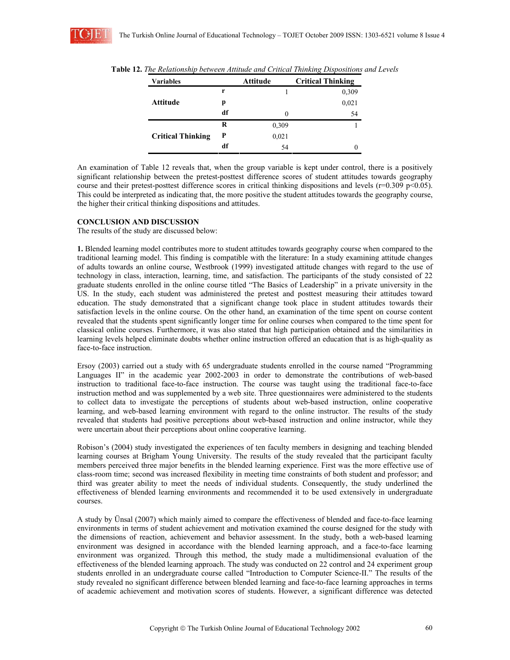

| <b>Variables</b>         |    | <b>Attitude</b> | <b>Critical Thinking</b> |
|--------------------------|----|-----------------|--------------------------|
|                          | r  |                 | 0,309                    |
| Attitude                 | р  |                 | 0,021                    |
|                          | df | 0               | 54                       |
|                          | R  | 0,309           |                          |
| <b>Critical Thinking</b> | P  | 0,021           |                          |
|                          | df | 54              |                          |

**Table 12.** *The Relationship between Attitude and Critical Thinking Dispositions and Levels* 

An examination of Table 12 reveals that, when the group variable is kept under control, there is a positively significant relationship between the pretest-posttest difference scores of student attitudes towards geography course and their pretest-posttest difference scores in critical thinking dispositions and levels ( $r=0.309$  p $<0.05$ ). This could be interpreted as indicating that, the more positive the student attitudes towards the geography course, the higher their critical thinking dispositions and attitudes.

### **CONCLUSION AND DISCUSSION**

The results of the study are discussed below:

**1.** Blended learning model contributes more to student attitudes towards geography course when compared to the traditional learning model. This finding is compatible with the literature: In a study examining attitude changes of adults towards an online course, Westbrook (1999) investigated attitude changes with regard to the use of technology in class, interaction, learning, time, and satisfaction. The participants of the study consisted of 22 graduate students enrolled in the online course titled "The Basics of Leadership" in a private university in the US. In the study, each student was administered the pretest and posttest measuring their attitudes toward education. The study demonstrated that a significant change took place in student attitudes towards their satisfaction levels in the online course. On the other hand, an examination of the time spent on course content revealed that the students spent significantly longer time for online courses when compared to the time spent for classical online courses. Furthermore, it was also stated that high participation obtained and the similarities in learning levels helped eliminate doubts whether online instruction offered an education that is as high-quality as face-to-face instruction.

Ersoy (2003) carried out a study with 65 undergraduate students enrolled in the course named "Programming Languages II" in the academic year 2002-2003 in order to demonstrate the contributions of web-based instruction to traditional face-to-face instruction. The course was taught using the traditional face-to-face instruction method and was supplemented by a web site. Three questionnaires were administered to the students to collect data to investigate the perceptions of students about web-based instruction, online cooperative learning, and web-based learning environment with regard to the online instructor. The results of the study revealed that students had positive perceptions about web-based instruction and online instructor, while they were uncertain about their perceptions about online cooperative learning.

Robison's (2004) study investigated the experiences of ten faculty members in designing and teaching blended learning courses at Brigham Young University. The results of the study revealed that the participant faculty members perceived three major benefits in the blended learning experience. First was the more effective use of class-room time; second was increased flexibility in meeting time constraints of both student and professor; and third was greater ability to meet the needs of individual students. Consequently, the study underlined the effectiveness of blended learning environments and recommended it to be used extensively in undergraduate courses.

A study by Ünsal (2007) which mainly aimed to compare the effectiveness of blended and face-to-face learning environments in terms of student achievement and motivation examined the course designed for the study with the dimensions of reaction, achievement and behavior assessment. In the study, both a web-based learning environment was designed in accordance with the blended learning approach, and a face-to-face learning environment was organized. Through this method, the study made a multidimensional evaluation of the effectiveness of the blended learning approach. The study was conducted on 22 control and 24 experiment group students enrolled in an undergraduate course called "Introduction to Computer Science-II." The results of the study revealed no significant difference between blended learning and face-to-face learning approaches in terms of academic achievement and motivation scores of students. However, a significant difference was detected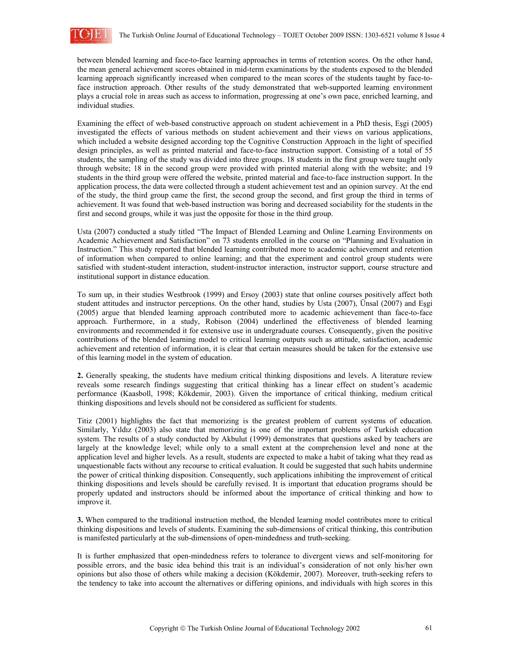

between blended learning and face-to-face learning approaches in terms of retention scores. On the other hand, the mean general achievement scores obtained in mid-term examinations by the students exposed to the blended learning approach significantly increased when compared to the mean scores of the students taught by face-toface instruction approach. Other results of the study demonstrated that web-supported learning environment plays a crucial role in areas such as access to information, progressing at one's own pace, enriched learning, and individual studies.

Examining the effect of web-based constructive approach on student achievement in a PhD thesis, Eşgi (2005) investigated the effects of various methods on student achievement and their views on various applications, which included a website designed according top the Cognitive Construction Approach in the light of specified design principles, as well as printed material and face-to-face instruction support. Consisting of a total of 55 students, the sampling of the study was divided into three groups. 18 students in the first group were taught only through website; 18 in the second group were provided with printed material along with the website; and 19 students in the third group were offered the website, printed material and face-to-face instruction support. In the application process, the data were collected through a student achievement test and an opinion survey. At the end of the study, the third group came the first, the second group the second, and first group the third in terms of achievement. It was found that web-based instruction was boring and decreased sociability for the students in the first and second groups, while it was just the opposite for those in the third group.

Usta (2007) conducted a study titled "The Impact of Blended Learning and Online Learning Environments on Academic Achievement and Satisfaction" on 73 students enrolled in the course on "Planning and Evaluation in Instruction." This study reported that blended learning contributed more to academic achievement and retention of information when compared to online learning; and that the experiment and control group students were satisfied with student-student interaction, student-instructor interaction, instructor support, course structure and institutional support in distance education.

To sum up, in their studies Westbrook (1999) and Ersoy (2003) state that online courses positively affect both student attitudes and instructor perceptions. On the other hand, studies by Usta (2007), Ünsal (2007) and Eşgi (2005) argue that blended learning approach contributed more to academic achievement than face-to-face approach. Furthermore, in a study, Robison (2004) underlined the effectiveness of blended learning environments and recommended it for extensive use in undergraduate courses. Consequently, given the positive contributions of the blended learning model to critical learning outputs such as attitude, satisfaction, academic achievement and retention of information, it is clear that certain measures should be taken for the extensive use of this learning model in the system of education.

**2.** Generally speaking, the students have medium critical thinking dispositions and levels. A literature review reveals some research findings suggesting that critical thinking has a linear effect on student's academic performance (Kaasboll, 1998; Kökdemir, 2003). Given the importance of critical thinking, medium critical thinking dispositions and levels should not be considered as sufficient for students.

Titiz (2001) highlights the fact that memorizing is the greatest problem of current systems of education. Similarly, Yıldız (2003) also state that memorizing is one of the important problems of Turkish education system. The results of a study conducted by Akbulut (1999) demonstrates that questions asked by teachers are largely at the knowledge level; while only to a small extent at the comprehension level and none at the application level and higher levels. As a result, students are expected to make a habit of taking what they read as unquestionable facts without any recourse to critical evaluation. It could be suggested that such habits undermine the power of critical thinking disposition. Consequently, such applications inhibiting the improvement of critical thinking dispositions and levels should be carefully revised. It is important that education programs should be properly updated and instructors should be informed about the importance of critical thinking and how to improve it.

**3.** When compared to the traditional instruction method, the blended learning model contributes more to critical thinking dispositions and levels of students. Examining the sub-dimensions of critical thinking, this contribution is manifested particularly at the sub-dimensions of open-mindedness and truth-seeking.

It is further emphasized that open-mindedness refers to tolerance to divergent views and self-monitoring for possible errors, and the basic idea behind this trait is an individual's consideration of not only his/her own opinions but also those of others while making a decision (Kökdemir, 2007). Moreover, truth-seeking refers to the tendency to take into account the alternatives or differing opinions, and individuals with high scores in this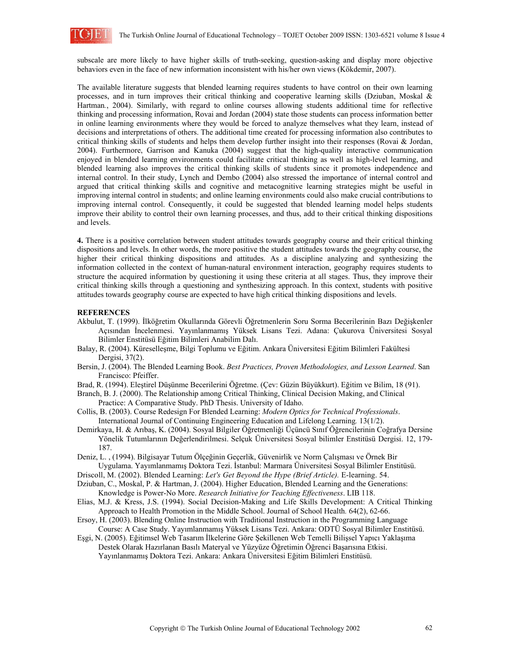

subscale are more likely to have higher skills of truth-seeking, question-asking and display more objective behaviors even in the face of new information inconsistent with his/her own views (Kökdemir, 2007).

The available literature suggests that blended learning requires students to have control on their own learning processes, and in turn improves their critical thinking and cooperative learning skills (Dziuban, Moskal & Hartman*.*, 2004). Similarly, with regard to online courses allowing students additional time for reflective thinking and processing information, Rovai and Jordan (2004) state those students can process information better in online learning environments where they would be forced to analyze themselves what they learn, instead of decisions and interpretations of others. The additional time created for processing information also contributes to critical thinking skills of students and helps them develop further insight into their responses (Rovai & Jordan, 2004). Furthermore, Garrison and Kanuka (2004) suggest that the high-quality interactive communication enjoyed in blended learning environments could facilitate critical thinking as well as high-level learning, and blended learning also improves the critical thinking skills of students since it promotes independence and internal control. In their study, Lynch and Dembo (2004) also stressed the importance of internal control and argued that critical thinking skills and cognitive and metacognitive learning strategies might be useful in improving internal control in students; and online learning environments could also make crucial contributions to improving internal control. Consequently, it could be suggested that blended learning model helps students improve their ability to control their own learning processes, and thus, add to their critical thinking dispositions and levels.

**4.** There is a positive correlation between student attitudes towards geography course and their critical thinking dispositions and levels. In other words, the more positive the student attitudes towards the geography course, the higher their critical thinking dispositions and attitudes. As a discipline analyzing and synthesizing the information collected in the context of human-natural environment interaction, geography requires students to structure the acquired information by questioning it using these criteria at all stages. Thus, they improve their critical thinking skills through a questioning and synthesizing approach. In this context, students with positive attitudes towards geography course are expected to have high critical thinking dispositions and levels.

#### **REFERENCES**

- Akbulut, T. (1999). İlköğretim Okullarında Görevli Öğretmenlerin Soru Sorma Becerilerinin Bazı Değişkenler Açısından İncelenmesi. Yayınlanmamış Yüksek Lisans Tezi. Adana: Çukurova Üniversitesi Sosyal Bilimler Enstitüsü Eğitim Bilimleri Anabilim Dalı.
- Balay, R. (2004). Küreselleşme, Bilgi Toplumu ve Eğitim. Ankara Üniversitesi Eğitim Bilimleri Fakültesi Dergisi, 37(2).
- Bersin, J. (2004). The Blended Learning Book. *Best Practices, Proven Methodologies, and Lesson Learned*. San Francisco: Pfeiffer.
- Brad, R. (1994). Eleştirel Düşünme Becerilerini Öğretme. (Çev: Güzin Büyükkurt). Eğitim ve Bilim, 18 (91).
- Branch, B. J. (2000). The Relationship among Critical Thinking, Clinical Decision Making, and Clinical Practice: A Comparative Study. PhD Thesis. University of Idaho.
- Collis, B. (2003). Course Redesign For Blended Learning: *Modern Optics for Technical Professionals*. International Journal of Continuing Engineering Education and Lifelong Learning*.* 13(1/2).
- Demirkaya, H. & Arıbaş, K. (2004). Sosyal Bilgiler Öğretmenliği Üçüncü Sınıf Öğrencilerinin Coğrafya Dersine Yönelik Tutumlarının Değerlendirilmesi. Selçuk Üniversitesi Sosyal bilimler Enstitüsü Dergisi. 12, 179- 187.
- Deniz, L. , (1994). Bilgisayar Tutum Ölçeğinin Geçerlik, Güvenirlik ve Norm Çalışması ve Örnek Bir Uygulama. Yayımlanmamış Doktora Tezi. İstanbul: Marmara Üniversitesi Sosyal Bilimler Enstitüsü.
- Driscoll, M. (2002). Blended Learning: *Let's Get Beyond the Hype (Brief Article).* E-learning. 54.
- Dziuban, C., Moskal, P. & Hartman, J. (2004). Higher Education, Blended Learning and the Generations: Knowledge is Power-No More. *Research Initiative for Teaching Effectiveness*. LIB 118.
- Elias, M.J. & Kress, J.S. (1994). Social Decision-Making and Life Skills Development: A Critical Thinking Approach to Health Promotion in the Middle School. Journal of School Health*.* 64(2), 62-66.
- Ersoy, H. (2003). Blending Online Instruction with Traditional Instruction in the Programming Language Course: A Case Study. Yayımlanmamış Yüksek Lisans Tezi. Ankara: ODTÜ Sosyal Bilimler Enstitüsü.
- Eşgi, N. (2005). Eğitimsel Web Tasarım İlkelerine Göre Şekillenen Web Temelli Bilişsel Yapıcı Yaklaşıma Destek Olarak Hazırlanan Basılı Materyal ve Yüzyüze Öğretimin Öğrenci Başarısına Etkisi. Yayınlanmamış Doktora Tezi. Ankara: Ankara Üniversitesi Eğitim Bilimleri Enstitüsü.